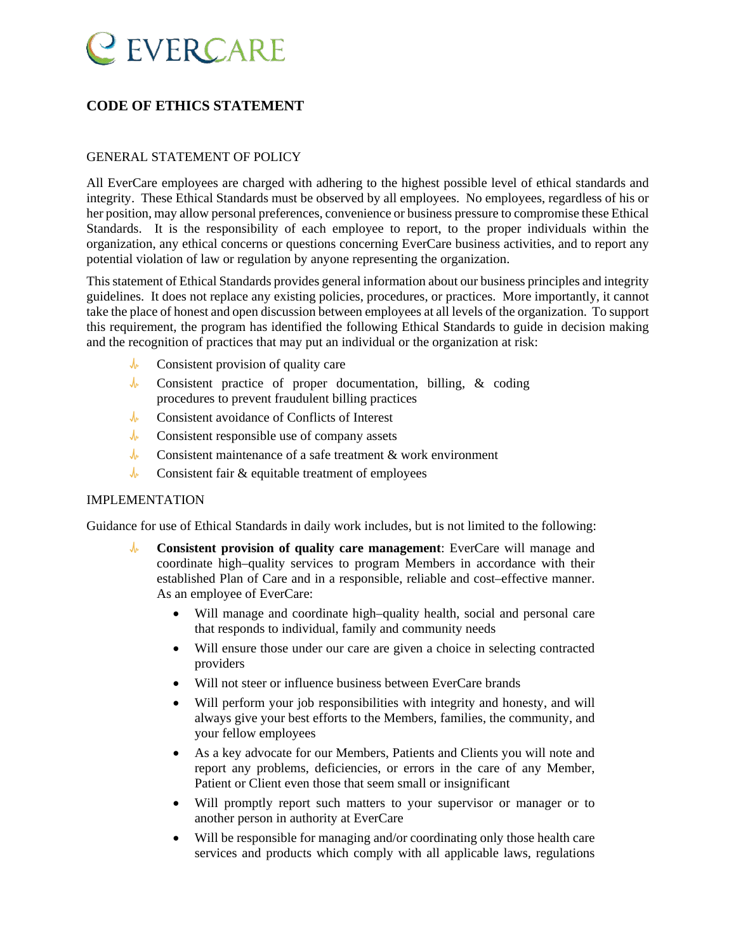

### **CODE OF ETHICS STATEMENT**

#### GENERAL STATEMENT OF POLICY

All EverCare employees are charged with adhering to the highest possible level of ethical standards and integrity. These Ethical Standards must be observed by all employees. No employees, regardless of his or her position, may allow personal preferences, convenience or business pressure to compromise these Ethical Standards. It is the responsibility of each employee to report, to the proper individuals within the organization, any ethical concerns or questions concerning EverCare business activities, and to report any potential violation of law or regulation by anyone representing the organization.

This statement of Ethical Standards provides general information about our business principles and integrity guidelines. It does not replace any existing policies, procedures, or practices. More importantly, it cannot take the place of honest and open discussion between employees at all levels of the organization. To support this requirement, the program has identified the following Ethical Standards to guide in decision making and the recognition of practices that may put an individual or the organization at risk:

- $\mathcal{N}$ Consistent provision of quality care
- $\mathcal{N}$ Consistent practice of proper documentation, billing, & coding procedures to prevent fraudulent billing practices
- $\sqrt{r}$ Consistent avoidance of Conflicts of Interest
- $\sqrt{r}$ Consistent responsible use of company assets
- $\mathcal{N}$ Consistent maintenance of a safe treatment & work environment
- $\sqrt{r}$ Consistent fair & equitable treatment of employees

#### IMPLEMENTATION

Guidance for use of Ethical Standards in daily work includes, but is not limited to the following:

- $\mathcal{N}$ **Consistent provision of quality care management**: EverCare will manage and coordinate high–quality services to program Members in accordance with their established Plan of Care and in a responsible, reliable and cost–effective manner. As an employee of EverCare:
	- Will manage and coordinate high–quality health, social and personal care that responds to individual, family and community needs
	- Will ensure those under our care are given a choice in selecting contracted providers
	- Will not steer or influence business between EverCare brands
	- Will perform your job responsibilities with integrity and honesty, and will always give your best efforts to the Members, families, the community, and your fellow employees
	- As a key advocate for our Members, Patients and Clients you will note and report any problems, deficiencies, or errors in the care of any Member, Patient or Client even those that seem small or insignificant
	- Will promptly report such matters to your supervisor or manager or to another person in authority at EverCare
	- Will be responsible for managing and/or coordinating only those health care services and products which comply with all applicable laws, regulations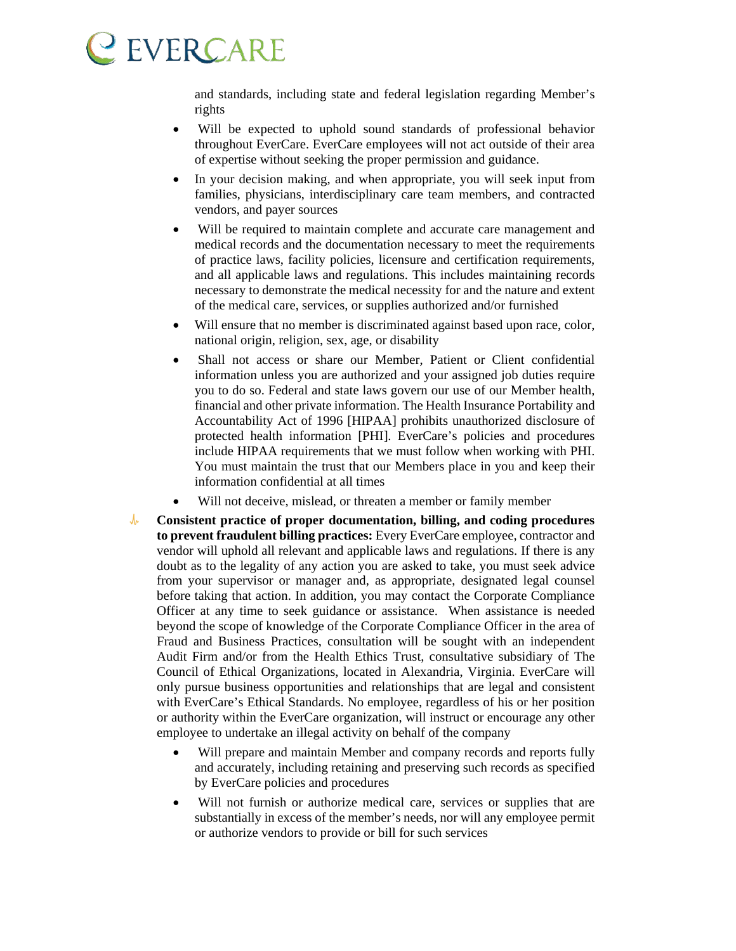and standards, including state and federal legislation regarding Member's rights

- Will be expected to uphold sound standards of professional behavior throughout EverCare. EverCare employees will not act outside of their area of expertise without seeking the proper permission and guidance.
- In your decision making, and when appropriate, you will seek input from families, physicians, interdisciplinary care team members, and contracted vendors, and payer sources
- Will be required to maintain complete and accurate care management and medical records and the documentation necessary to meet the requirements of practice laws, facility policies, licensure and certification requirements, and all applicable laws and regulations. This includes maintaining records necessary to demonstrate the medical necessity for and the nature and extent of the medical care, services, or supplies authorized and/or furnished
- Will ensure that no member is discriminated against based upon race, color, national origin, religion, sex, age, or disability
- Shall not access or share our Member, Patient or Client confidential information unless you are authorized and your assigned job duties require you to do so. Federal and state laws govern our use of our Member health, financial and other private information. The Health Insurance Portability and Accountability Act of 1996 [HIPAA] prohibits unauthorized disclosure of protected health information [PHI]. EverCare's policies and procedures include HIPAA requirements that we must follow when working with PHI. You must maintain the trust that our Members place in you and keep their information confidential at all times
- Will not deceive, mislead, or threaten a member or family member
- $\sqrt{r}$ **Consistent practice of proper documentation, billing, and coding procedures to prevent fraudulent billing practices:** Every EverCare employee, contractor and vendor will uphold all relevant and applicable laws and regulations. If there is any doubt as to the legality of any action you are asked to take, you must seek advice from your supervisor or manager and, as appropriate, designated legal counsel before taking that action. In addition, you may contact the Corporate Compliance Officer at any time to seek guidance or assistance. When assistance is needed beyond the scope of knowledge of the Corporate Compliance Officer in the area of Fraud and Business Practices, consultation will be sought with an independent Audit Firm and/or from the Health Ethics Trust, consultative subsidiary of The Council of Ethical Organizations, located in Alexandria, Virginia. EverCare will only pursue business opportunities and relationships that are legal and consistent with EverCare's Ethical Standards. No employee, regardless of his or her position or authority within the EverCare organization, will instruct or encourage any other employee to undertake an illegal activity on behalf of the company
	- Will prepare and maintain Member and company records and reports fully and accurately, including retaining and preserving such records as specified by EverCare policies and procedures
	- Will not furnish or authorize medical care, services or supplies that are substantially in excess of the member's needs, nor will any employee permit or authorize vendors to provide or bill for such services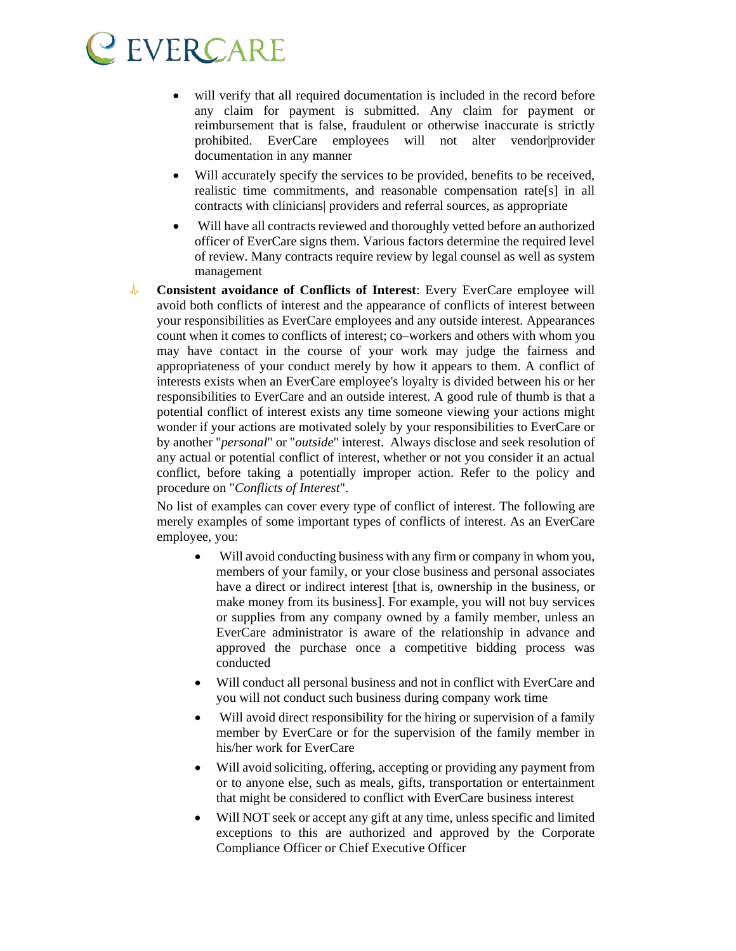- will verify that all required documentation is included in the record before any claim for payment is submitted. Any claim for payment or reimbursement that is false, fraudulent or otherwise inaccurate is strictly prohibited. EverCare employees will not alter vendor|provider documentation in any manner
- Will accurately specify the services to be provided, benefits to be received, realistic time commitments, and reasonable compensation rate[s] in all contracts with clinicians| providers and referral sources, as appropriate
- Will have all contracts reviewed and thoroughly vetted before an authorized officer of EverCare signs them. Various factors determine the required level of review. Many contracts require review by legal counsel as well as system management
- $\sqrt{r}$ **Consistent avoidance of Conflicts of Interest**: Every EverCare employee will avoid both conflicts of interest and the appearance of conflicts of interest between your responsibilities as EverCare employees and any outside interest. Appearances count when it comes to conflicts of interest; co–workers and others with whom you may have contact in the course of your work may judge the fairness and appropriateness of your conduct merely by how it appears to them. A conflict of interests exists when an EverCare employee's loyalty is divided between his or her responsibilities to EverCare and an outside interest. A good rule of thumb is that a potential conflict of interest exists any time someone viewing your actions might wonder if your actions are motivated solely by your responsibilities to EverCare or by another "*personal*" or "*outside*" interest. Always disclose and seek resolution of any actual or potential conflict of interest, whether or not you consider it an actual conflict, before taking a potentially improper action. Refer to the policy and procedure on "*Conflicts of Interest*".

No list of examples can cover every type of conflict of interest. The following are merely examples of some important types of conflicts of interest. As an EverCare employee, you:

- Will avoid conducting business with any firm or company in whom you, members of your family, or your close business and personal associates have a direct or indirect interest [that is, ownership in the business, or make money from its business]. For example, you will not buy services or supplies from any company owned by a family member, unless an EverCare administrator is aware of the relationship in advance and approved the purchase once a competitive bidding process was conducted
- Will conduct all personal business and not in conflict with EverCare and you will not conduct such business during company work time
- Will avoid direct responsibility for the hiring or supervision of a family member by EverCare or for the supervision of the family member in his/her work for EverCare
- Will avoid soliciting, offering, accepting or providing any payment from or to anyone else, such as meals, gifts, transportation or entertainment that might be considered to conflict with EverCare business interest
- Will NOT seek or accept any gift at any time, unless specific and limited exceptions to this are authorized and approved by the Corporate Compliance Officer or Chief Executive Officer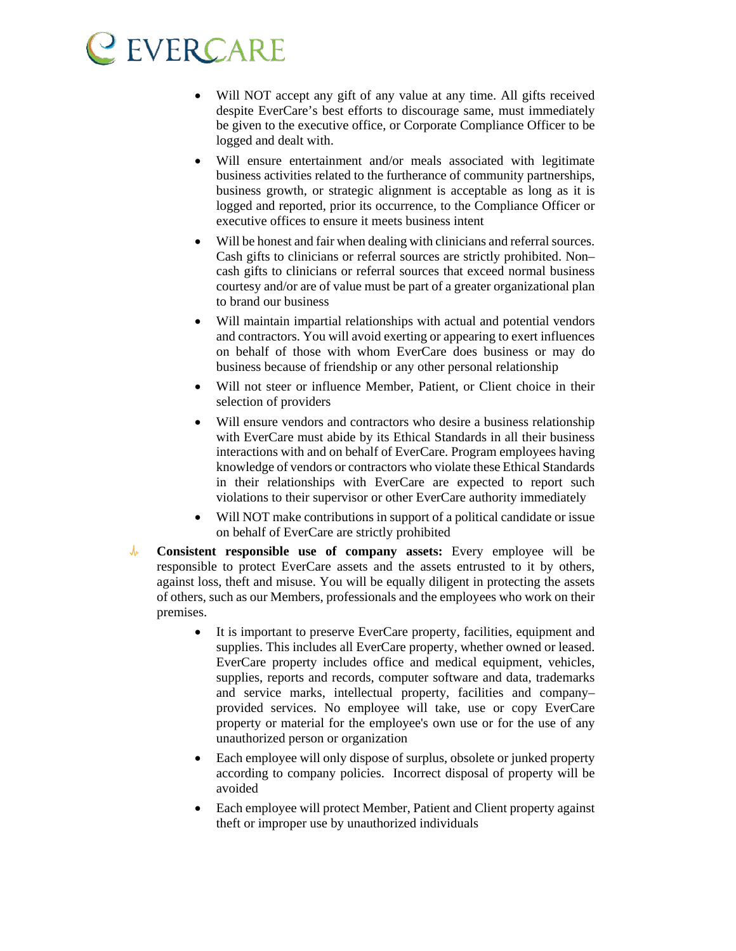- Will NOT accept any gift of any value at any time. All gifts received despite EverCare's best efforts to discourage same, must immediately be given to the executive office, or Corporate Compliance Officer to be logged and dealt with.
- Will ensure entertainment and/or meals associated with legitimate business activities related to the furtherance of community partnerships, business growth, or strategic alignment is acceptable as long as it is logged and reported, prior its occurrence, to the Compliance Officer or executive offices to ensure it meets business intent
- Will be honest and fair when dealing with clinicians and referral sources. Cash gifts to clinicians or referral sources are strictly prohibited. Non– cash gifts to clinicians or referral sources that exceed normal business courtesy and/or are of value must be part of a greater organizational plan to brand our business
- Will maintain impartial relationships with actual and potential vendors and contractors. You will avoid exerting or appearing to exert influences on behalf of those with whom EverCare does business or may do business because of friendship or any other personal relationship
- Will not steer or influence Member, Patient, or Client choice in their selection of providers
- Will ensure vendors and contractors who desire a business relationship with EverCare must abide by its Ethical Standards in all their business interactions with and on behalf of EverCare. Program employees having knowledge of vendors or contractors who violate these Ethical Standards in their relationships with EverCare are expected to report such violations to their supervisor or other EverCare authority immediately
- Will NOT make contributions in support of a political candidate or issue on behalf of EverCare are strictly prohibited
- $\sqrt{r}$ **Consistent responsible use of company assets:** Every employee will be responsible to protect EverCare assets and the assets entrusted to it by others, against loss, theft and misuse. You will be equally diligent in protecting the assets of others, such as our Members, professionals and the employees who work on their premises.
	- It is important to preserve EverCare property, facilities, equipment and supplies. This includes all EverCare property, whether owned or leased. EverCare property includes office and medical equipment, vehicles, supplies, reports and records, computer software and data, trademarks and service marks, intellectual property, facilities and company– provided services. No employee will take, use or copy EverCare property or material for the employee's own use or for the use of any unauthorized person or organization
	- Each employee will only dispose of surplus, obsolete or junked property according to company policies. Incorrect disposal of property will be avoided
	- Each employee will protect Member, Patient and Client property against theft or improper use by unauthorized individuals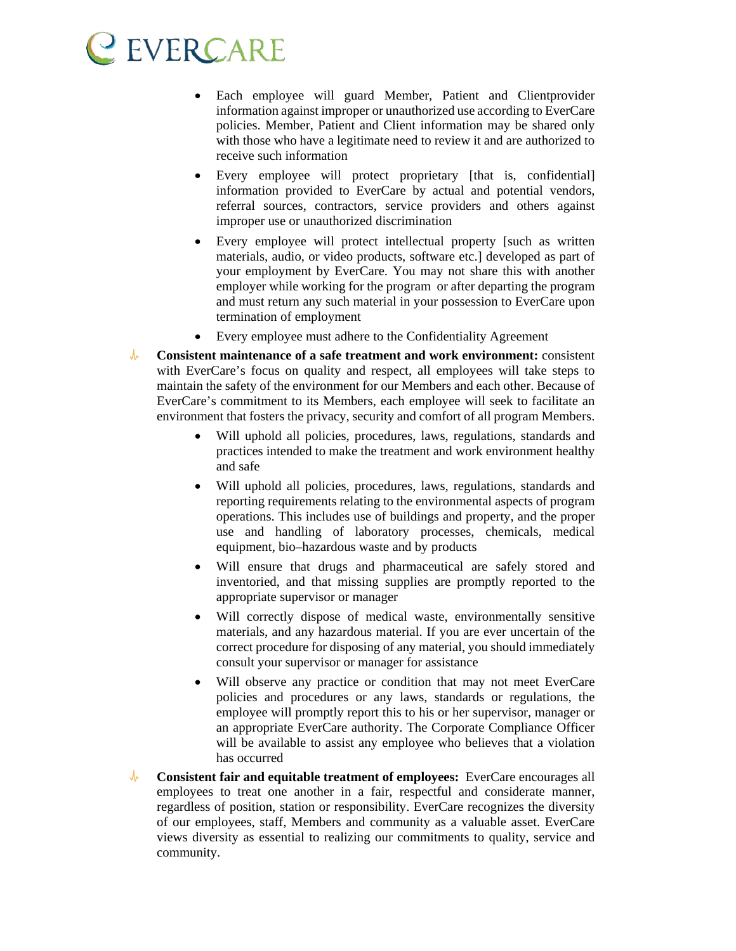- Each employee will guard Member, Patient and Clientprovider information against improper or unauthorized use according to EverCare policies. Member, Patient and Client information may be shared only with those who have a legitimate need to review it and are authorized to receive such information
- Every employee will protect proprietary [that is, confidential] information provided to EverCare by actual and potential vendors, referral sources, contractors, service providers and others against improper use or unauthorized discrimination
- Every employee will protect intellectual property [such as written] materials, audio, or video products, software etc.] developed as part of your employment by EverCare. You may not share this with another employer while working for the program or after departing the program and must return any such material in your possession to EverCare upon termination of employment
- Every employee must adhere to the Confidentiality Agreement
- $\mathcal{N}^{\mu}$ **Consistent maintenance of a safe treatment and work environment:** consistent with EverCare's focus on quality and respect, all employees will take steps to maintain the safety of the environment for our Members and each other. Because of EverCare's commitment to its Members, each employee will seek to facilitate an environment that fosters the privacy, security and comfort of all program Members.
	- Will uphold all policies, procedures, laws, regulations, standards and practices intended to make the treatment and work environment healthy and safe
	- Will uphold all policies, procedures, laws, regulations, standards and reporting requirements relating to the environmental aspects of program operations. This includes use of buildings and property, and the proper use and handling of laboratory processes, chemicals, medical equipment, bio–hazardous waste and by products
	- Will ensure that drugs and pharmaceutical are safely stored and inventoried, and that missing supplies are promptly reported to the appropriate supervisor or manager
	- Will correctly dispose of medical waste, environmentally sensitive materials, and any hazardous material. If you are ever uncertain of the correct procedure for disposing of any material, you should immediately consult your supervisor or manager for assistance
	- Will observe any practice or condition that may not meet EverCare policies and procedures or any laws, standards or regulations, the employee will promptly report this to his or her supervisor, manager or an appropriate EverCare authority. The Corporate Compliance Officer will be available to assist any employee who believes that a violation has occurred
- $\mathcal{N}$ **Consistent fair and equitable treatment of employees:** EverCare encourages all employees to treat one another in a fair, respectful and considerate manner, regardless of position, station or responsibility. EverCare recognizes the diversity of our employees, staff, Members and community as a valuable asset. EverCare views diversity as essential to realizing our commitments to quality, service and community.